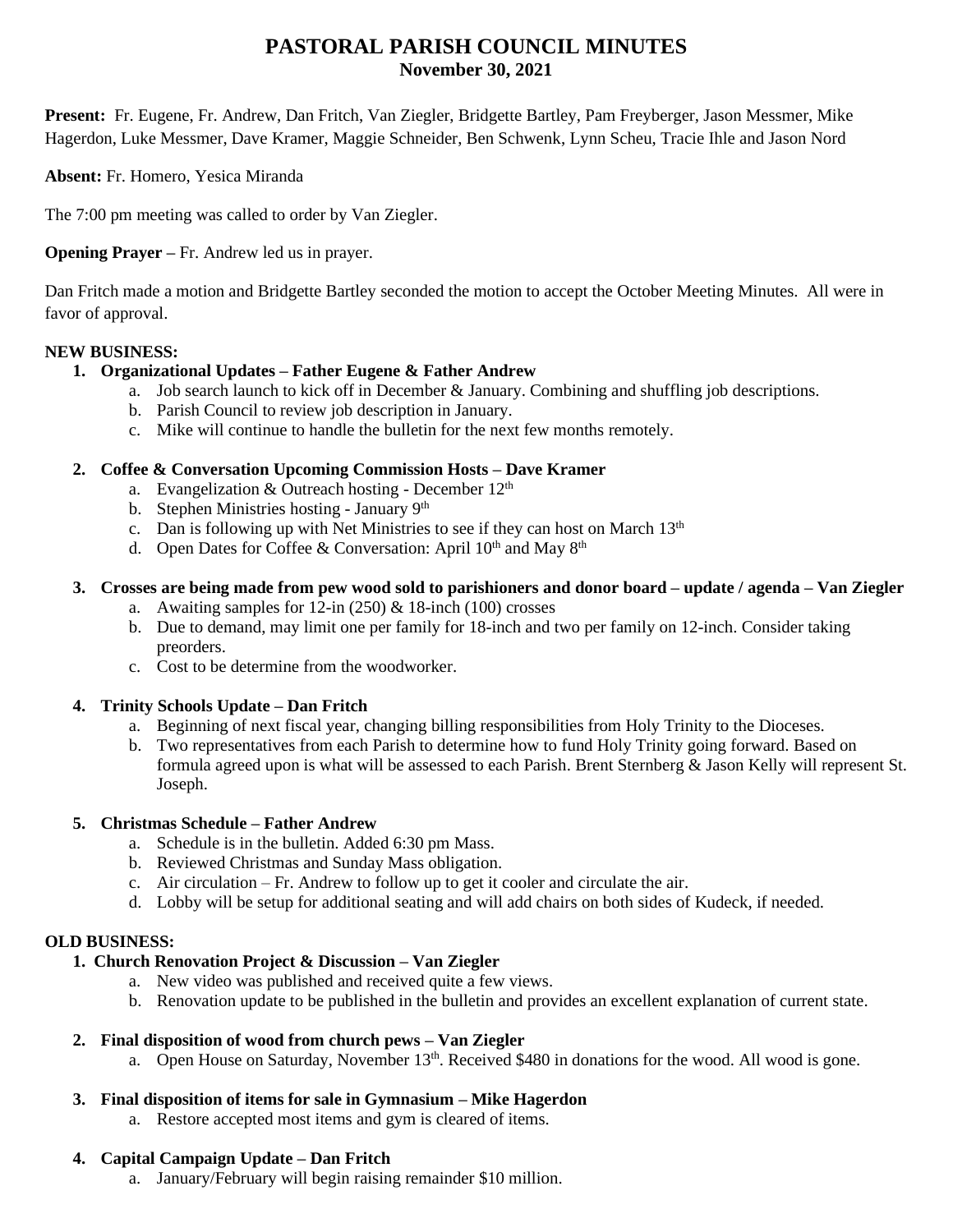# **PASTORAL PARISH COUNCIL MINUTES November 30, 2021**

**Present:** Fr. Eugene, Fr. Andrew, Dan Fritch, Van Ziegler, Bridgette Bartley, Pam Freyberger, Jason Messmer, Mike Hagerdon, Luke Messmer, Dave Kramer, Maggie Schneider, Ben Schwenk, Lynn Scheu, Tracie Ihle and Jason Nord

**Absent:** Fr. Homero, Yesica Miranda

The 7:00 pm meeting was called to order by Van Ziegler.

**Opening Prayer –** Fr. Andrew led us in prayer.

Dan Fritch made a motion and Bridgette Bartley seconded the motion to accept the October Meeting Minutes. All were in favor of approval.

#### **NEW BUSINESS:**

#### **1. Organizational Updates – Father Eugene & Father Andrew**

- a. Job search launch to kick off in December & January. Combining and shuffling job descriptions.
- b. Parish Council to review job description in January.
- c. Mike will continue to handle the bulletin for the next few months remotely.

#### **2. Coffee & Conversation Upcoming Commission Hosts – Dave Kramer**

- a. Evangelization & Outreach hosting December  $12<sup>th</sup>$
- b. Stephen Ministries hosting January 9<sup>th</sup>
- c. Dan is following up with Net Ministries to see if they can host on March  $13<sup>th</sup>$
- d. Open Dates for Coffee & Conversation: April  $10^{th}$  and May  $8^{th}$

# **3. Crosses are being made from pew wood sold to parishioners and donor board – update / agenda – Van Ziegler**

- a. Awaiting samples for  $12$ -in  $(250)$  &  $18$ -inch  $(100)$  crosses
- b. Due to demand, may limit one per family for 18-inch and two per family on 12-inch. Consider taking preorders.
- c. Cost to be determine from the woodworker.

# **4. Trinity Schools Update – Dan Fritch**

- a. Beginning of next fiscal year, changing billing responsibilities from Holy Trinity to the Dioceses.
- b. Two representatives from each Parish to determine how to fund Holy Trinity going forward. Based on formula agreed upon is what will be assessed to each Parish. Brent Sternberg & Jason Kelly will represent St. Joseph.

#### **5. Christmas Schedule – Father Andrew**

- a. Schedule is in the bulletin. Added 6:30 pm Mass.
- b. Reviewed Christmas and Sunday Mass obligation.
- c. Air circulation Fr. Andrew to follow up to get it cooler and circulate the air.
- d. Lobby will be setup for additional seating and will add chairs on both sides of Kudeck, if needed.

# **OLD BUSINESS:**

# **1. Church Renovation Project & Discussion – Van Ziegler**

- a. New video was published and received quite a few views.
- b. Renovation update to be published in the bulletin and provides an excellent explanation of current state.

# **2. Final disposition of wood from church pews – Van Ziegler**

a. Open House on Saturday, November 13<sup>th</sup>. Received \$480 in donations for the wood. All wood is gone.

# **3. Final disposition of items for sale in Gymnasium – Mike Hagerdon**

a. Restore accepted most items and gym is cleared of items.

# **4. Capital Campaign Update – Dan Fritch**

a. January/February will begin raising remainder \$10 million.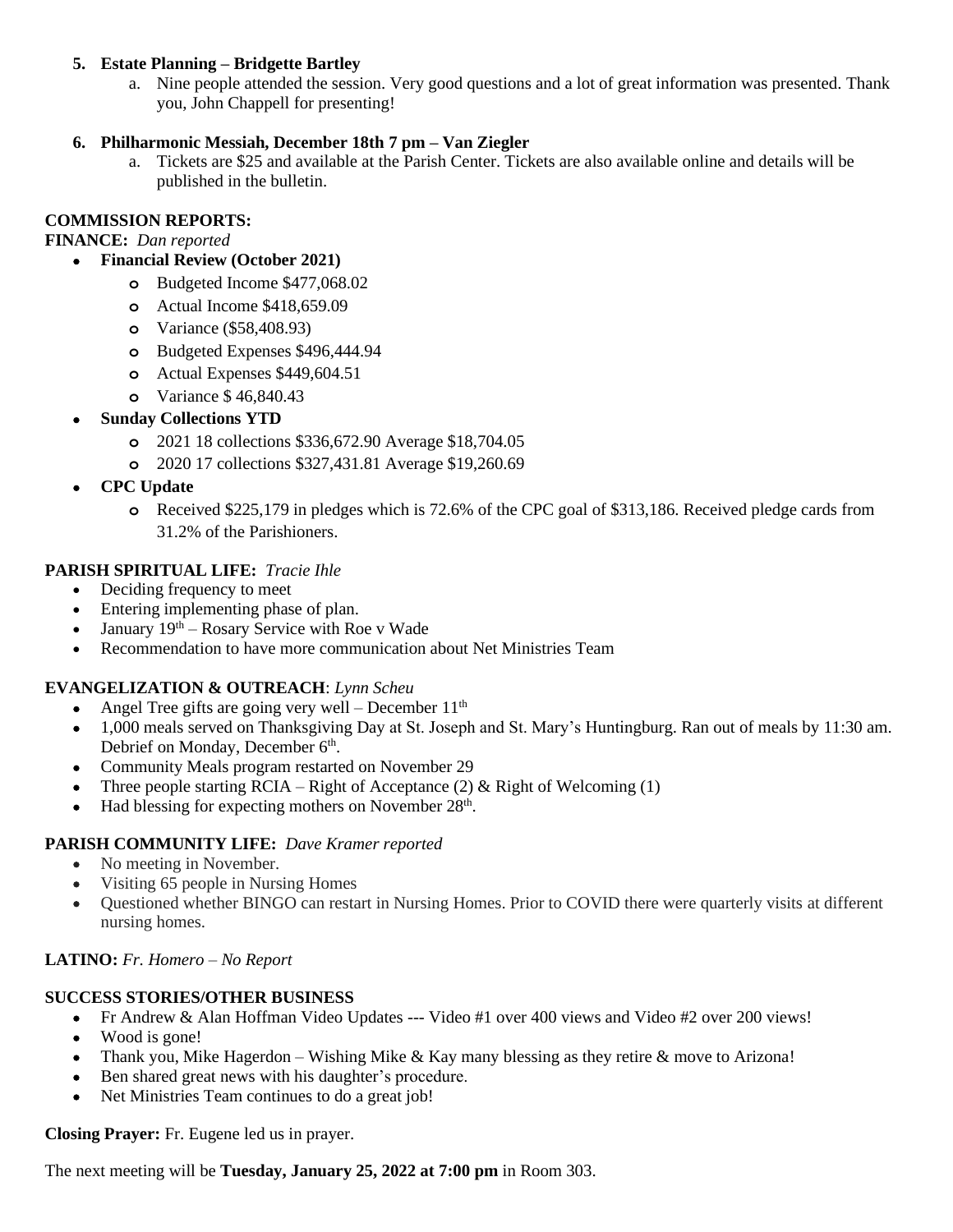#### **5. Estate Planning – Bridgette Bartley**

a. Nine people attended the session. Very good questions and a lot of great information was presented. Thank you, John Chappell for presenting!

#### **6. Philharmonic Messiah, December 18th 7 pm – Van Ziegler**

a. Tickets are \$25 and available at the Parish Center. Tickets are also available online and details will be published in the bulletin.

### **COMMISSION REPORTS:**

**FINANCE:** *Dan reported*

- **Financial Review (October 2021)**
	- **o** Budgeted Income \$477,068.02
	- **o** Actual Income \$418,659.09
	- **o** Variance (\$58,408.93)
	- **o** Budgeted Expenses \$496,444.94
	- **o** Actual Expenses \$449,604.51
	- **o** Variance \$ 46,840.43
- **Sunday Collections YTD**
	- **o** 2021 18 collections \$336,672.90 Average \$18,704.05
	- **o** 2020 17 collections \$327,431.81 Average \$19,260.69
- **CPC Update**
	- **o** Received \$225,179 in pledges which is 72.6% of the CPC goal of \$313,186. Received pledge cards from 31.2% of the Parishioners.

#### **PARISH SPIRITUAL LIFE:** *Tracie Ihle*

- Deciding frequency to meet
- Entering implementing phase of plan.
- January  $19<sup>th</sup>$  Rosary Service with Roe v Wade
- Recommendation to have more communication about Net Ministries Team

# **EVANGELIZATION & OUTREACH**: *Lynn Scheu*

- Angel Tree gifts are going very well December  $11<sup>th</sup>$
- 1,000 meals served on Thanksgiving Day at St. Joseph and St. Mary's Huntingburg. Ran out of meals by 11:30 am. Debrief on Monday, December 6<sup>th</sup>.
- Community Meals program restarted on November 29
- Three people starting  $RCIA Right$  of Acceptance (2) & Right of Welcoming (1)
- Had blessing for expecting mothers on November  $28<sup>th</sup>$ .

#### **PARISH COMMUNITY LIFE:** *Dave Kramer reported*

- No meeting in November.
- Visiting 65 people in Nursing Homes
- Questioned whether BINGO can restart in Nursing Homes. Prior to COVID there were quarterly visits at different nursing homes.

#### **LATINO:** *Fr. Homero – No Report*

# **SUCCESS STORIES/OTHER BUSINESS**

- Fr Andrew & Alan Hoffman Video Updates --- Video #1 over 400 views and Video #2 over 200 views!
- Wood is gone!
- Thank you, Mike Hagerdon Wishing Mike & Kay many blessing as they retire & move to Arizona!
- Ben shared great news with his daughter's procedure.
- Net Ministries Team continues to do a great job!

#### **Closing Prayer:** Fr. Eugene led us in prayer.

The next meeting will be **Tuesday, January 25, 2022 at 7:00 pm** in Room 303.